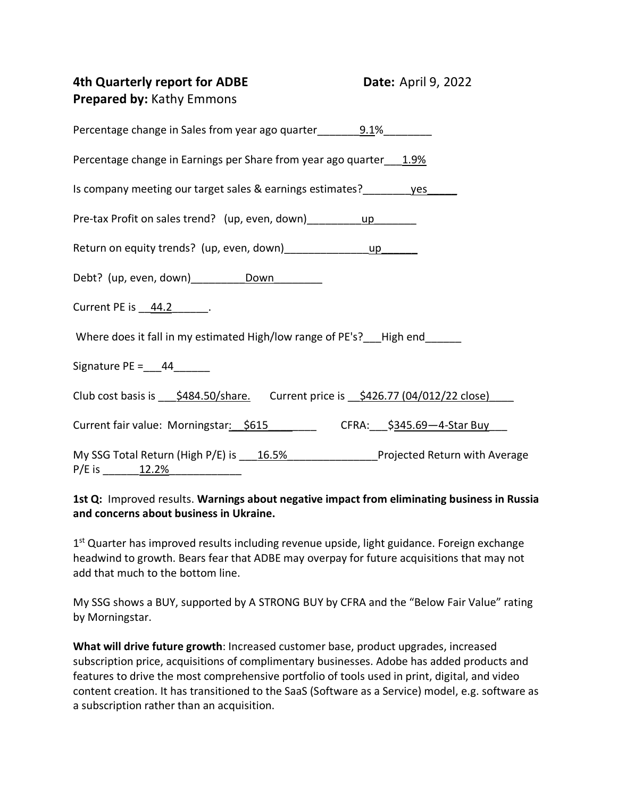| 4th Quarterly report for ADBE<br><b>Prepared by: Kathy Emmons</b>                                                | <b>Date: April 9, 2022</b> |
|------------------------------------------------------------------------------------------------------------------|----------------------------|
| Percentage change in Sales from year ago quarter 9.1%                                                            |                            |
| Percentage change in Earnings per Share from year ago quarter 1.9%                                               |                            |
| Is company meeting our target sales & earnings estimates? ves                                                    |                            |
| Pre-tax Profit on sales trend? (up, even, down) __________ up                                                    |                            |
|                                                                                                                  |                            |
|                                                                                                                  |                            |
|                                                                                                                  |                            |
| Where does it fall in my estimated High/low range of PE's? High end                                              |                            |
| Signature PE = $44$                                                                                              |                            |
| Club cost basis is \$484.50/share. Current price is \$426.77 (04/012/22 close)                                   |                            |
| Current fair value: Morningstar: \$615 CFRA: \$345.69-4-Star Buy                                                 |                            |
| My SSG Total Return (High P/E) is 16.5% Projected Return with Average<br>P/E is $\underline{\hspace{1cm}12.2\%}$ |                            |

## **1st Q:** Improved results. **Warnings about negative impact from eliminating business in Russia and concerns about business in Ukraine.**

1<sup>st</sup> Quarter has improved results including revenue upside, light guidance. Foreign exchange headwind to growth. Bears fear that ADBE may overpay for future acquisitions that may not add that much to the bottom line.

My SSG shows a BUY, supported by A STRONG BUY by CFRA and the "Below Fair Value" rating by Morningstar.

**What will drive future growth**: Increased customer base, product upgrades, increased subscription price, acquisitions of complimentary businesses. Adobe has added products and features to drive the most comprehensive portfolio of tools used in print, digital, and video content creation. It has transitioned to the SaaS (Software as a Service) model, e.g. software as a subscription rather than an acquisition.